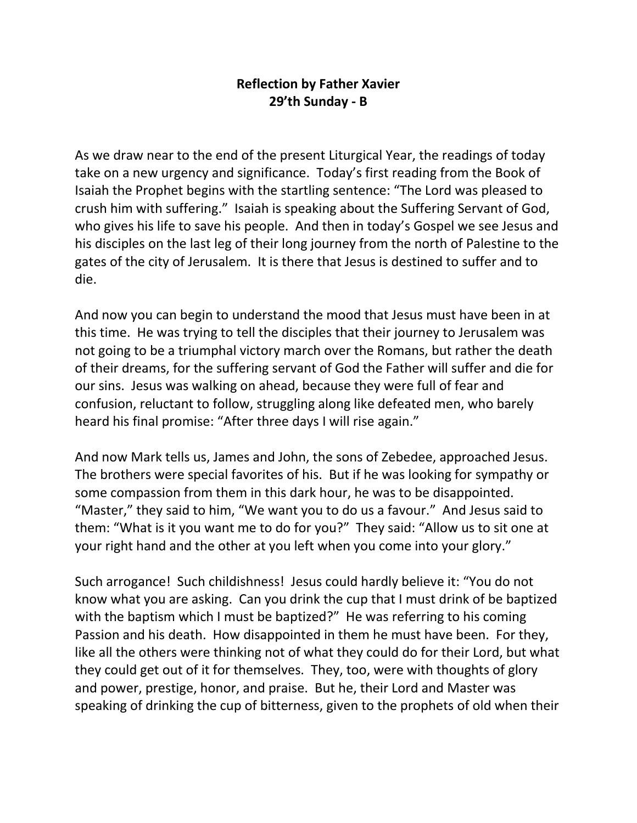## **Reflection by Father Xavier 29'th Sunday - B**

As we draw near to the end of the present Liturgical Year, the readings of today take on a new urgency and significance. Today's first reading from the Book of Isaiah the Prophet begins with the startling sentence: "The Lord was pleased to crush him with suffering." Isaiah is speaking about the Suffering Servant of God, who gives his life to save his people. And then in today's Gospel we see Jesus and his disciples on the last leg of their long journey from the north of Palestine to the gates of the city of Jerusalem. It is there that Jesus is destined to suffer and to die.

And now you can begin to understand the mood that Jesus must have been in at this time. He was trying to tell the disciples that their journey to Jerusalem was not going to be a triumphal victory march over the Romans, but rather the death of their dreams, for the suffering servant of God the Father will suffer and die for our sins. Jesus was walking on ahead, because they were full of fear and confusion, reluctant to follow, struggling along like defeated men, who barely heard his final promise: "After three days I will rise again."

And now Mark tells us, James and John, the sons of Zebedee, approached Jesus. The brothers were special favorites of his. But if he was looking for sympathy or some compassion from them in this dark hour, he was to be disappointed. "Master," they said to him, "We want you to do us a favour." And Jesus said to them: "What is it you want me to do for you?" They said: "Allow us to sit one at your right hand and the other at you left when you come into your glory."

Such arrogance! Such childishness! Jesus could hardly believe it: "You do not know what you are asking. Can you drink the cup that I must drink of be baptized with the baptism which I must be baptized?" He was referring to his coming Passion and his death. How disappointed in them he must have been. For they, like all the others were thinking not of what they could do for their Lord, but what they could get out of it for themselves. They, too, were with thoughts of glory and power, prestige, honor, and praise. But he, their Lord and Master was speaking of drinking the cup of bitterness, given to the prophets of old when their